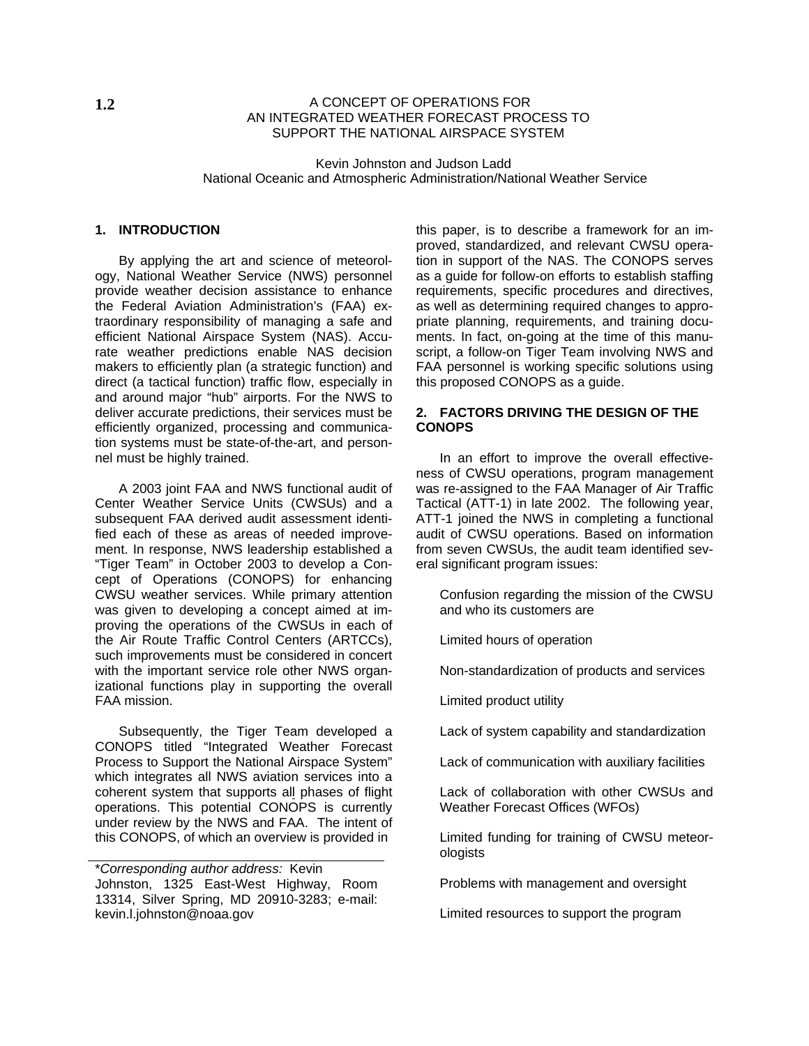### **1.2** A CONCEPT OF OPERATIONS FOR AN INTEGRATED WEATHER FORECAST PROCESS TO SUPPORT THE NATIONAL AIRSPACE SYSTEM

 Kevin Johnston and Judson Ladd National Oceanic and Atmospheric Administration/National Weather Service

## **1. INTRODUCTION**

By applying the art and science of meteorology, National Weather Service (NWS) personnel provide weather decision assistance to enhance the Federal Aviation Administration's (FAA) extraordinary responsibility of managing a safe and efficient National Airspace System (NAS). Accurate weather predictions enable NAS decision makers to efficiently plan (a strategic function) and direct (a tactical function) traffic flow, especially in and around major "hub" airports. For the NWS to deliver accurate predictions, their services must be efficiently organized, processing and communication systems must be state-of-the-art, and personnel must be highly trained.

A 2003 joint FAA and NWS functional audit of Center Weather Service Units (CWSUs) and a subsequent FAA derived audit assessment identified each of these as areas of needed improvement. In response, NWS leadership established a "Tiger Team" in October 2003 to develop a Concept of Operations (CONOPS) for enhancing CWSU weather services. While primary attention was given to developing a concept aimed at improving the operations of the CWSUs in each of the Air Route Traffic Control Centers (ARTCCs), such improvements must be considered in concert with the important service role other NWS organizational functions play in supporting the overall FAA mission.

Subsequently, the Tiger Team developed a CONOPS titled "Integrated Weather Forecast Process to Support the National Airspace System" which integrates all NWS aviation services into a coherent system that supports all phases of flight operations. This potential CONOPS is currently under review by the NWS and FAA. The intent of this CONOPS, of which an overview is provided in Limited funding for training of CWSU meteor-

this paper, is to describe a framework for an improved, standardized, and relevant CWSU operation in support of the NAS. The CONOPS serves as a guide for follow-on efforts to establish staffing requirements, specific procedures and directives, as well as determining required changes to appropriate planning, requirements, and training documents. In fact, on-going at the time of this manuscript, a follow-on Tiger Team involving NWS and FAA personnel is working specific solutions using this proposed CONOPS as a guide.

### **2. FACTORS DRIVING THE DESIGN OF THE CONOPS**

In an effort to improve the overall effectiveness of CWSU operations, program management was re-assigned to the FAA Manager of Air Traffic Tactical (ATT-1) in late 2002. The following year, ATT-1 joined the NWS in completing a functional audit of CWSU operations. Based on information from seven CWSUs, the audit team identified several significant program issues:

Confusion regarding the mission of the CWSU and who its customers are

Limited hours of operation

Non-standardization of products and services

Limited product utility

Lack of system capability and standardization

Lack of communication with auxiliary facilities

Lack of collaboration with other CWSUs and Weather Forecast Offices (WFOs)

ologists

Problems with management and oversight

Limited resources to support the program

<sup>\*</sup>*Corresponding author address:* Kevin Johnston, 1325 East-West Highway, Room 13314, Silver Spring, MD 20910-3283; e-mail: kevin.l.johnston@noaa.gov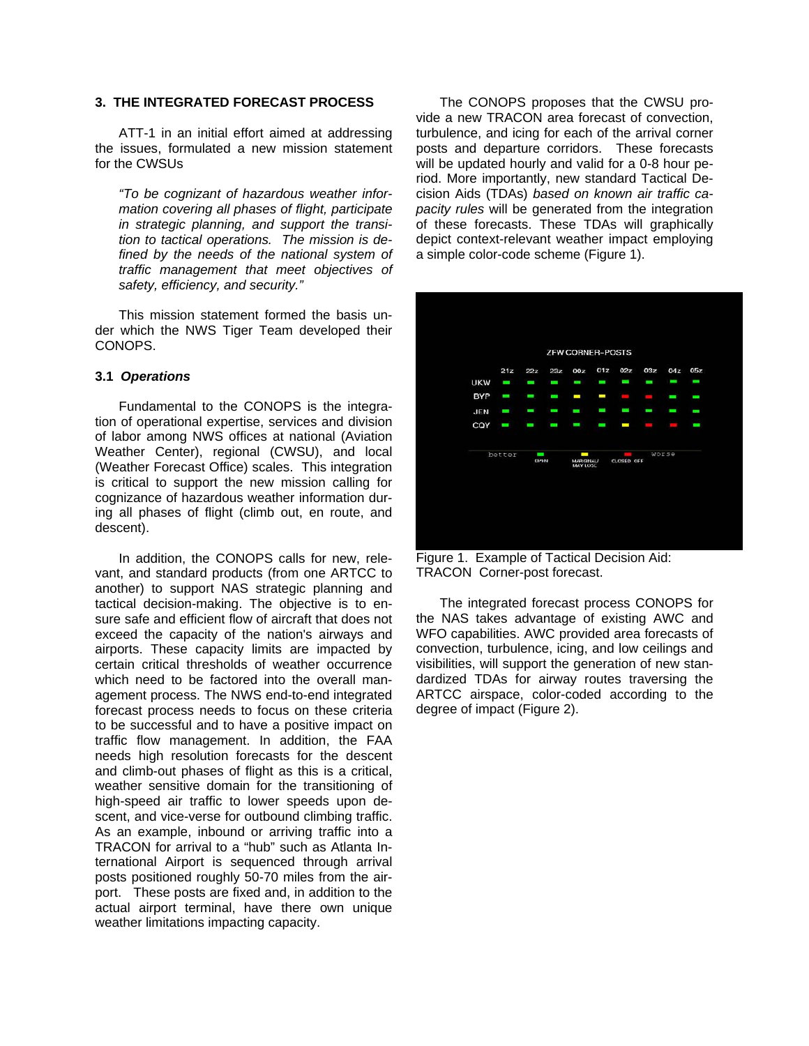## **3. THE INTEGRATED FORECAST PROCESS**

ATT-1 in an initial effort aimed at addressing the issues, formulated a new mission statement for the CWSUs

*"To be cognizant of hazardous weather information covering all phases of flight, participate in strategic planning, and support the transition to tactical operations. The mission is defined by the needs of the national system of traffic management that meet objectives of safety, efficiency, and security."*

This mission statement formed the basis under which the NWS Tiger Team developed their CONOPS.

#### **3.1** *Operations*

Fundamental to the CONOPS is the integration of operational expertise, services and division of labor among NWS offices at national (Aviation Weather Center), regional (CWSU), and local (Weather Forecast Office) scales. This integration is critical to support the new mission calling for cognizance of hazardous weather information during all phases of flight (climb out, en route, and descent).

In addition, the CONOPS calls for new, relevant, and standard products (from one ARTCC to another) to support NAS strategic planning and tactical decision-making. The objective is to ensure safe and efficient flow of aircraft that does not exceed the capacity of the nation's airways and airports. These capacity limits are impacted by certain critical thresholds of weather occurrence which need to be factored into the overall management process. The NWS end-to-end integrated forecast process needs to focus on these criteria to be successful and to have a positive impact on traffic flow management. In addition, the FAA needs high resolution forecasts for the descent and climb-out phases of flight as this is a critical, weather sensitive domain for the transitioning of high-speed air traffic to lower speeds upon descent, and vice-verse for outbound climbing traffic. As an example, inbound or arriving traffic into a TRACON for arrival to a "hub" such as Atlanta International Airport is sequenced through arrival posts positioned roughly 50-70 miles from the airport. These posts are fixed and, in addition to the actual airport terminal, have there own unique weather limitations impacting capacity.

The CONOPS proposes that the CWSU provide a new TRACON area forecast of convection, turbulence, and icing for each of the arrival corner posts and departure corridors. These forecasts will be updated hourly and valid for a 0-8 hour period. More importantly, new standard Tactical Decision Aids (TDAs) *based on known air traffic capacity rules* will be generated from the integration of these forecasts. These TDAs will graphically depict context-relevant weather impact employing a simple color-code scheme (Figure 1).



Figure 1. Example of Tactical Decision Aid: TRACON Corner-post forecast.

The integrated forecast process CONOPS for the NAS takes advantage of existing AWC and WFO capabilities. AWC provided area forecasts of convection, turbulence, icing, and low ceilings and visibilities, will support the generation of new standardized TDAs for airway routes traversing the ARTCC airspace, color-coded according to the degree of impact (Figure 2).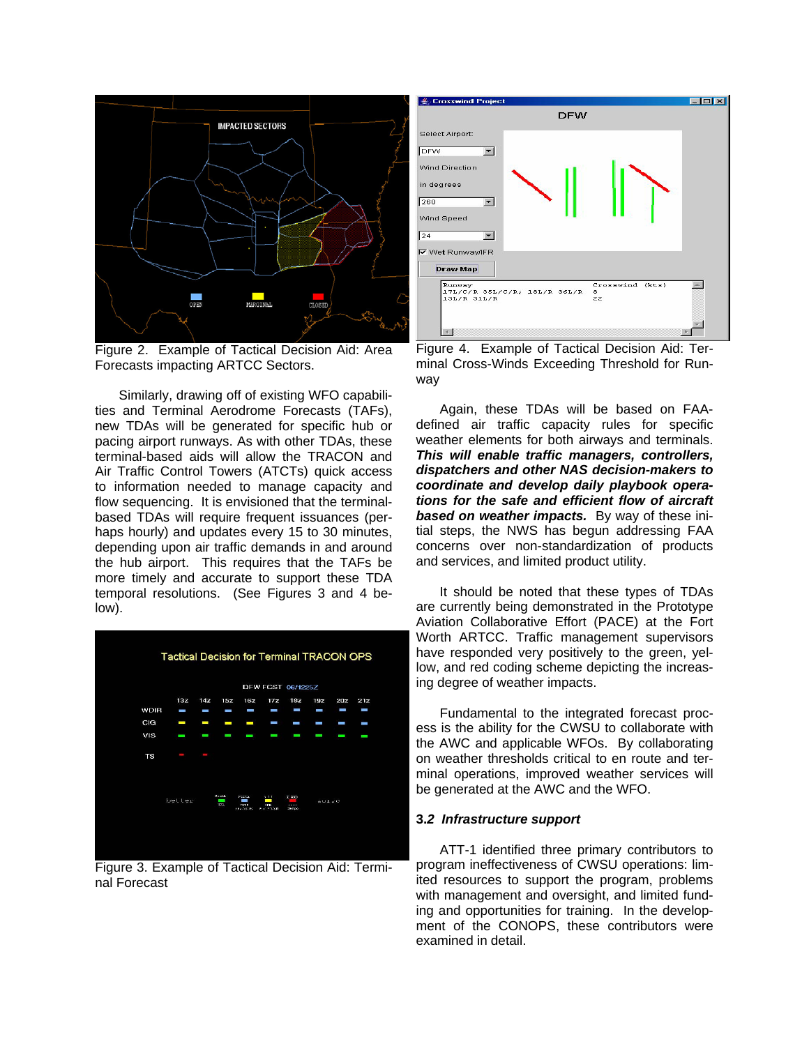

Figure 2. Example of Tactical Decision Aid: Area Forecasts impacting ARTCC Sectors.

Similarly, drawing off of existing WFO capabilities and Terminal Aerodrome Forecasts (TAFs), new TDAs will be generated for specific hub or pacing airport runways. As with other TDAs, these terminal-based aids will allow the TRACON and Air Traffic Control Towers (ATCTs) quick access to information needed to manage capacity and flow sequencing. It is envisioned that the terminalbased TDAs will require frequent issuances (perhaps hourly) and updates every 15 to 30 minutes, depending upon air traffic demands in and around the hub airport. This requires that the TAFs be more timely and accurate to support these TDA temporal resolutions. (See Figures 3 and 4 below).



Figure 3. Example of Tactical Decision Aid: Terminal Forecast



Figure 4. Example of Tactical Decision Aid: Terminal Cross-Winds Exceeding Threshold for Runway

Again, these TDAs will be based on FAAdefined air traffic capacity rules for specific weather elements for both airways and terminals. *This will enable traffic managers, controllers, dispatchers and other NAS decision-makers to coordinate and develop daily playbook operations for the safe and efficient flow of aircraft based on weather impacts.* By way of these initial steps, the NWS has begun addressing FAA concerns over non-standardization of products and services, and limited product utility.

It should be noted that these types of TDAs are currently being demonstrated in the Prototype Aviation Collaborative Effort (PACE) at the Fort Worth ARTCC. Traffic management supervisors have responded very positively to the green, yellow, and red coding scheme depicting the increasing degree of weather impacts.

Fundamental to the integrated forecast process is the ability for the CWSU to collaborate with the AWC and applicable WFOs. By collaborating on weather thresholds critical to en route and terminal operations, improved weather services will be generated at the AWC and the WFO.

#### **3.***2 Infrastructure support*

ATT-1 identified three primary contributors to program ineffectiveness of CWSU operations: limited resources to support the program, problems with management and oversight, and limited funding and opportunities for training. In the development of the CONOPS, these contributors were examined in detail.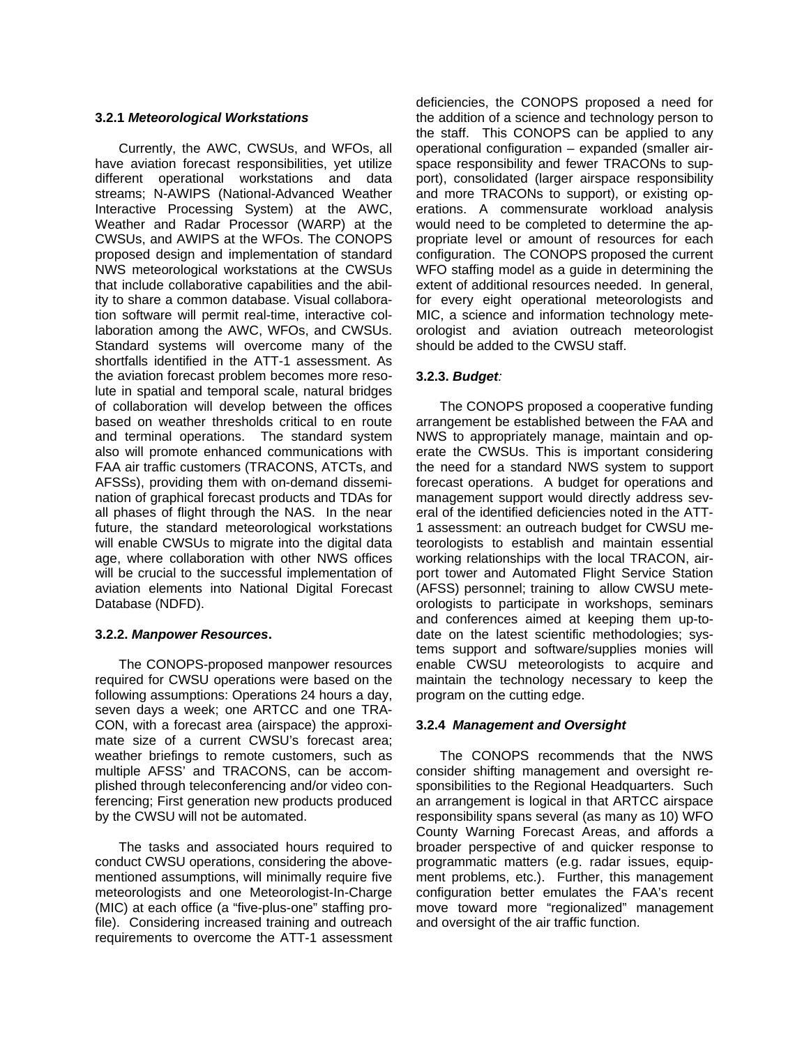## **3.2.1** *Meteorological Workstations*

Currently, the AWC, CWSUs, and WFOs, all have aviation forecast responsibilities, yet utilize different operational workstations and data streams; N-AWIPS (National-Advanced Weather Interactive Processing System) at the AWC, Weather and Radar Processor (WARP) at the CWSUs, and AWIPS at the WFOs. The CONOPS proposed design and implementation of standard NWS meteorological workstations at the CWSUs that include collaborative capabilities and the ability to share a common database. Visual collaboration software will permit real-time, interactive collaboration among the AWC, WFOs, and CWSUs. Standard systems will overcome many of the shortfalls identified in the ATT-1 assessment. As the aviation forecast problem becomes more resolute in spatial and temporal scale, natural bridges of collaboration will develop between the offices based on weather thresholds critical to en route and terminal operations. The standard system also will promote enhanced communications with FAA air traffic customers (TRACONS, ATCTs, and AFSSs), providing them with on-demand dissemination of graphical forecast products and TDAs for all phases of flight through the NAS. In the near future, the standard meteorological workstations will enable CWSUs to migrate into the digital data age, where collaboration with other NWS offices will be crucial to the successful implementation of aviation elements into National Digital Forecast Database (NDFD).

## **3.2.2.** *Manpower Resources***.**

The CONOPS-proposed manpower resources required for CWSU operations were based on the following assumptions: Operations 24 hours a day, seven days a week; one ARTCC and one TRA-CON, with a forecast area (airspace) the approximate size of a current CWSU's forecast area; weather briefings to remote customers, such as multiple AFSS' and TRACONS, can be accomplished through teleconferencing and/or video conferencing; First generation new products produced by the CWSU will not be automated.

The tasks and associated hours required to conduct CWSU operations, considering the abovementioned assumptions, will minimally require five meteorologists and one Meteorologist-In-Charge (MIC) at each office (a "five-plus-one" staffing profile). Considering increased training and outreach requirements to overcome the ATT-1 assessment deficiencies, the CONOPS proposed a need for the addition of a science and technology person to the staff. This CONOPS can be applied to any operational configuration – expanded (smaller airspace responsibility and fewer TRACONs to support), consolidated (larger airspace responsibility and more TRACONs to support), or existing operations. A commensurate workload analysis would need to be completed to determine the appropriate level or amount of resources for each configuration. The CONOPS proposed the current WFO staffing model as a guide in determining the extent of additional resources needed. In general, for every eight operational meteorologists and MIC, a science and information technology meteorologist and aviation outreach meteorologist should be added to the CWSU staff.

# **3.2.3.** *Budget:*

The CONOPS proposed a cooperative funding arrangement be established between the FAA and NWS to appropriately manage, maintain and operate the CWSUs. This is important considering the need for a standard NWS system to support forecast operations. A budget for operations and management support would directly address several of the identified deficiencies noted in the ATT-1 assessment: an outreach budget for CWSU meteorologists to establish and maintain essential working relationships with the local TRACON, airport tower and Automated Flight Service Station (AFSS) personnel; training to allow CWSU meteorologists to participate in workshops, seminars and conferences aimed at keeping them up-todate on the latest scientific methodologies; systems support and software/supplies monies will enable CWSU meteorologists to acquire and maintain the technology necessary to keep the program on the cutting edge.

## **3.2.4** *Management and Oversight*

The CONOPS recommends that the NWS consider shifting management and oversight responsibilities to the Regional Headquarters. Such an arrangement is logical in that ARTCC airspace responsibility spans several (as many as 10) WFO County Warning Forecast Areas, and affords a broader perspective of and quicker response to programmatic matters (e.g. radar issues, equipment problems, etc.). Further, this management configuration better emulates the FAA's recent move toward more "regionalized" management and oversight of the air traffic function.